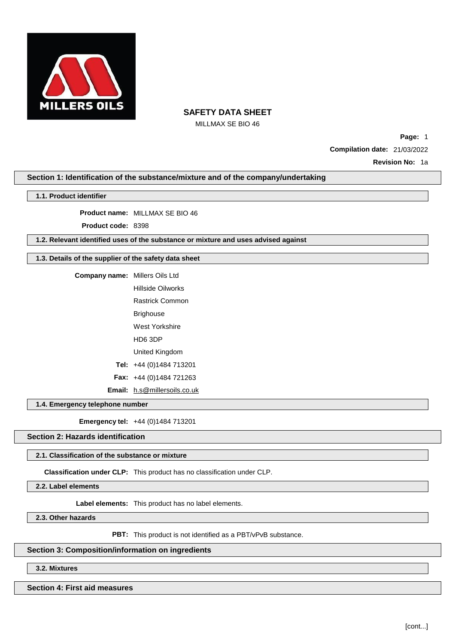

MILLMAX SE BIO 46

**Page:** 1 **Compilation date:** 21/03/2022

**Revision No:** 1a

## **Section 1: Identification of the substance/mixture and of the company/undertaking**

### **1.1. Product identifier**

**Product name:** MILLMAX SE BIO 46

**Product code:** 8398

**1.2. Relevant identified uses of the substance or mixture and uses advised against**

## **1.3. Details of the supplier of the safety data sheet**

**Company name:** Millers Oils Ltd Hillside Oilworks Rastrick Common Brighouse West Yorkshire HD6 3DP United Kingdom **Tel:** +44 (0)1484 713201 **Fax:** +44 (0)1484 721263 **Email:** [h.s@millersoils.co.uk](mailto:h.s@millersoils.co.uk)

## **1.4. Emergency telephone number**

**Emergency tel:** +44 (0)1484 713201

## **Section 2: Hazards identification**

### **2.1. Classification of the substance or mixture**

**Classification under CLP:** This product has no classification under CLP.

**2.2. Label elements**

**Label elements:** This product has no label elements.

**2.3. Other hazards**

PBT: This product is not identified as a PBT/vPvB substance.

# **Section 3: Composition/information on ingredients**

**3.2. Mixtures**

**Section 4: First aid measures**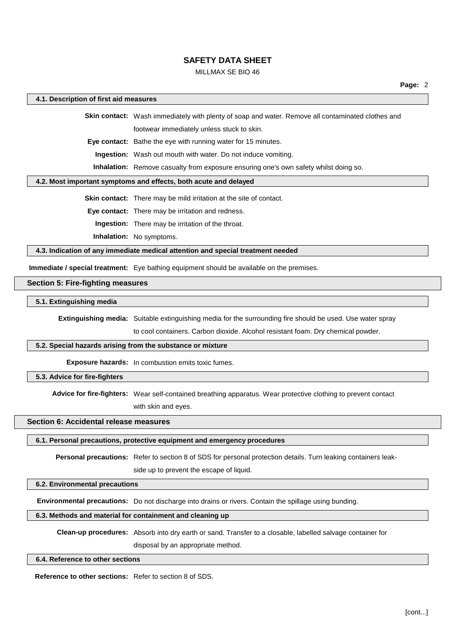### MILLMAX SE BIO 46

### **4.1. Description of first aid measures**

**Skin contact:** Wash immediately with plenty of soap and water. Remove all contaminated clothes and footwear immediately unless stuck to skin.

**Eye contact:** Bathe the eye with running water for 15 minutes.

**Ingestion:** Wash out mouth with water. Do not induce vomiting.

**Inhalation:** Remove casualty from exposure ensuring one's own safety whilst doing so.

#### **4.2. Most important symptoms and effects, both acute and delayed**

**Skin contact:** There may be mild irritation at the site of contact.

**Eye contact:** There may be irritation and redness.

**Ingestion:** There may be irritation of the throat.

**Inhalation:** No symptoms.

**4.3. Indication of any immediate medical attention and special treatment needed**

**Immediate / special treatment:** Eye bathing equipment should be available on the premises.

## **Section 5: Fire-fighting measures**

### **5.1. Extinguishing media**

**Extinguishing media:** Suitable extinguishing media for the surrounding fire should be used. Use water spray

to cool containers. Carbon dioxide. Alcohol resistant foam. Dry chemical powder.

### **5.2. Special hazards arising from the substance or mixture**

**Exposure hazards:** In combustion emits toxic fumes.

**5.3. Advice for fire-fighters**

**Advice for fire-fighters:** Wear self-contained breathing apparatus. Wear protective clothing to prevent contact with skin and eyes.

#### **Section 6: Accidental release measures**

**6.1. Personal precautions, protective equipment and emergency procedures**

**Personal precautions:** Refer to section 8 of SDS for personal protection details. Turn leaking containers leak-

side up to prevent the escape of liquid.

### **6.2. Environmental precautions**

**Environmental precautions:** Do not discharge into drains or rivers. Contain the spillage using bunding.

## **6.3. Methods and material for containment and cleaning up**

**Clean-up procedures:** Absorb into dry earth or sand. Transfer to a closable, labelled salvage container for disposal by an appropriate method.

#### **6.4. Reference to other sections**

**Reference to other sections:** Refer to section 8 of SDS.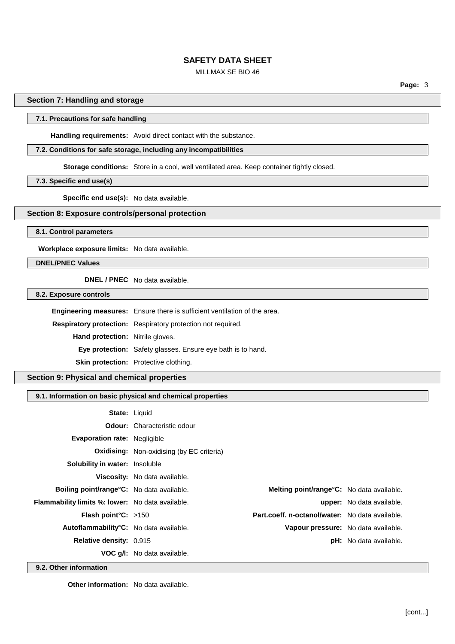## MILLMAX SE BIO 46

**Page:** 3

## **Section 7: Handling and storage**

## **7.1. Precautions for safe handling**

**Handling requirements:** Avoid direct contact with the substance.

## **7.2. Conditions for safe storage, including any incompatibilities**

**Storage conditions:** Store in a cool, well ventilated area. Keep container tightly closed.

**7.3. Specific end use(s)**

**Specific end use(s):** No data available.

## **Section 8: Exposure controls/personal protection**

**8.1. Control parameters**

**Workplace exposure limits:** No data available.

## **DNEL/PNEC Values**

**DNEL / PNEC** No data available.

**8.2. Exposure controls**

|                                         | Engineering measures: Ensure there is sufficient ventilation of the area. |  |
|-----------------------------------------|---------------------------------------------------------------------------|--|
|                                         | Respiratory protection: Respiratory protection not required.              |  |
| <b>Hand protection:</b> Nitrile gloves. |                                                                           |  |
|                                         | <b>Eye protection:</b> Safety glasses. Ensure eye bath is to hand.        |  |
|                                         | <b>Skin protection:</b> Protective clothing.                              |  |

**Section 9: Physical and chemical properties**

## **9.1. Information on basic physical and chemical properties**

| <b>State: Liquid</b>                                    |                                                  |                                                 |                                  |
|---------------------------------------------------------|--------------------------------------------------|-------------------------------------------------|----------------------------------|
|                                                         | <b>Odour:</b> Characteristic odour               |                                                 |                                  |
| <b>Evaporation rate: Negligible</b>                     |                                                  |                                                 |                                  |
|                                                         | <b>Oxidising:</b> Non-oxidising (by EC criteria) |                                                 |                                  |
| <b>Solubility in water:</b> Insoluble                   |                                                  |                                                 |                                  |
|                                                         | <b>Viscosity:</b> No data available.             |                                                 |                                  |
| <b>Boiling point/range °C:</b> No data available.       |                                                  | Melting point/range°C: No data available.       |                                  |
| <b>Flammability limits %: lower:</b> No data available. |                                                  |                                                 | <b>upper:</b> No data available. |
| <b>Flash point °C:</b> $>150$                           |                                                  | Part.coeff. n-octanol/water: No data available. |                                  |
| Autoflammability <sup>°</sup> C: No data available.     |                                                  | Vapour pressure: No data available.             |                                  |
| <b>Relative density: 0.915</b>                          |                                                  |                                                 | <b>pH:</b> No data available.    |
|                                                         | <b>VOC g/l:</b> No data available.               |                                                 |                                  |

**9.2. Other information**

**Other information:** No data available.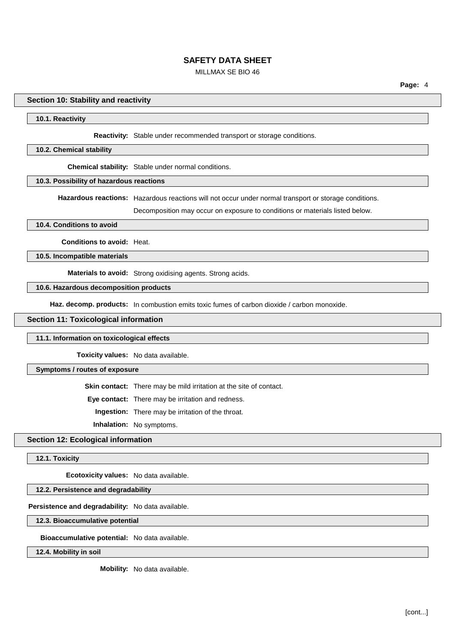## MILLMAX SE BIO 46

### **Section 10: Stability and reactivity**

#### **10.1. Reactivity**

#### **Reactivity:** Stable under recommended transport or storage conditions.

#### **10.2. Chemical stability**

**Chemical stability:** Stable under normal conditions.

## **10.3. Possibility of hazardous reactions**

**Hazardous reactions:** Hazardous reactions will not occur under normal transport or storage conditions.

Decomposition may occur on exposure to conditions or materials listed below.

#### **10.4. Conditions to avoid**

**Conditions to avoid:** Heat.

**10.5. Incompatible materials**

**Materials to avoid:** Strong oxidising agents. Strong acids.

## **10.6. Hazardous decomposition products**

**Haz. decomp. products:** In combustion emits toxic fumes of carbon dioxide / carbon monoxide.

### **Section 11: Toxicological information**

#### **11.1. Information on toxicological effects**

**Toxicity values:** No data available.

#### **Symptoms / routes of exposure**

**Skin contact:** There may be mild irritation at the site of contact.

**Eye contact:** There may be irritation and redness.

**Ingestion:** There may be irritation of the throat.

**Inhalation:** No symptoms.

## **Section 12: Ecological information**

#### **12.1. Toxicity**

**Ecotoxicity values:** No data available.

## **12.2. Persistence and degradability**

**Persistence and degradability:** No data available.

**12.3. Bioaccumulative potential**

**Bioaccumulative potential:** No data available.

**12.4. Mobility in soil**

**Mobility:** No data available.